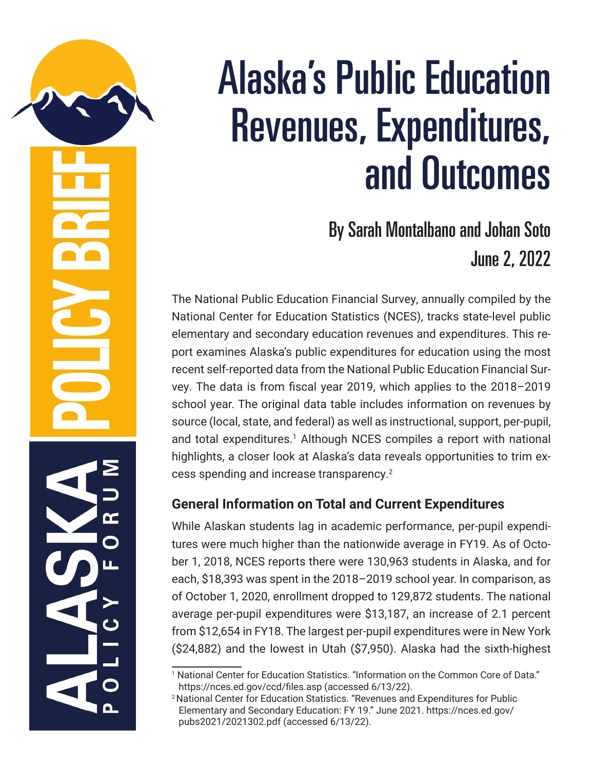# Alaska's Public Education Revenues, Expenditures, and Outcomes

### By Sarah Montalbano and Johan Soto June 2, 2022

The National Public Education Financial Survey, annually compiled by the National Center for Education Statistics (NCES), tracks state-level public elementary and secondary education revenues and expenditures. This re port examines Alaska's public expenditures for education using the most recent self-reported data from the National Public Education Financial Sur vey. The data is from fiscal year 2019, which applies to the 2018–2019 school year. The original data table includes information on revenues by source (local, state, and federal) as well as instructional, support, per-pupil, and total expenditures.<sup>1</sup> Although NCES compiles a report with national highlights, a closer look at Alaska's data reveals opportunities to trim ex cess spending and increase transparency. 2

#### **General Information on Total and Current Expenditures**

While Alaskan students lag in academic performance, per-pupil expendi tures were much higher than the nationwide average in FY19. As of Octo ber 1, 2018, NCES reports there were 130,963 students in Alaska, and for each, \$18,393 was spent in the 2018–2019 school year. In comparison, as of October 1, 2020, enrollment dropped to 129,872 students. The national average per-pupil expenditures were \$13,187, an increase of 2.1 percent from \$12,654 in FY18. The largest per-pupil expenditures were in New York (\$24,882) and the lowest in Utah (\$7,950). Alaska had the sixth-highest 1

POLICY BRIEF  $\mathsf{C}^{\mathsf{C}}$ 

<sup>&</sup>lt;sup>1</sup> National Center for Education Statistics. "Information on the Common Core of Data." https://nces.ed.gov/ccd/files.asp (accessed 6/13/22).

<sup>&</sup>lt;sup>2</sup> National Center for Education Statistics. "Revenues and Expenditures for Public Elementary and Secondary Education: FY 19." June 2021. https://nces.ed.gov/ pubs2021/2021302.pdf (accessed 6/13/22).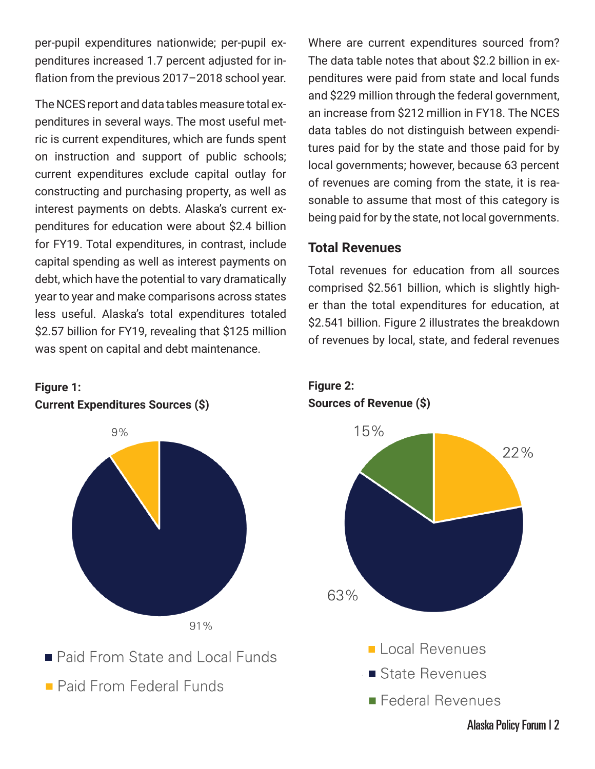per-pupil expenditures nationwide; per-pupil expenditures increased 1.7 percent adjusted for inflation from the previous 2017–2018 school year.

The NCES report and data tables measure total expenditures in several ways. The most useful metric is current expenditures, which are funds spent on instruction and support of public schools; current expenditures exclude capital outlay for constructing and purchasing property, as well as interest payments on debts. Alaska's current expenditures for education were about \$2.4 billion for FY19. Total expenditures, in contrast, include capital spending as well as interest payments on debt, which have the potential to vary dramatically year to year and make comparisons across states less useful. Alaska's total expenditures totaled \$2.57 billion for FY19, revealing that \$125 million was spent on capital and debt maintenance.

#### **Figure 1: Current Expenditures Sources (\$)**



- Paid From State and Local Funds
- **Paid From Federal Funds**

Where are current expenditures sourced from? The data table notes that about \$2.2 billion in expenditures were paid from state and local funds and \$229 million through the federal government, an increase from \$212 million in FY18. The NCES data tables do not distinguish between expenditures paid for by the state and those paid for by local governments; however, because 63 percent of revenues are coming from the state, it is reasonable to assume that most of this category is being paid for by the state, not local governments.

#### **Total Revenues**

Total revenues for education from all sources comprised \$2.561 billion, which is slightly higher than the total expenditures for education, at \$2.541 billion. Figure 2 illustrates the breakdown of revenues by local, state, and federal revenues

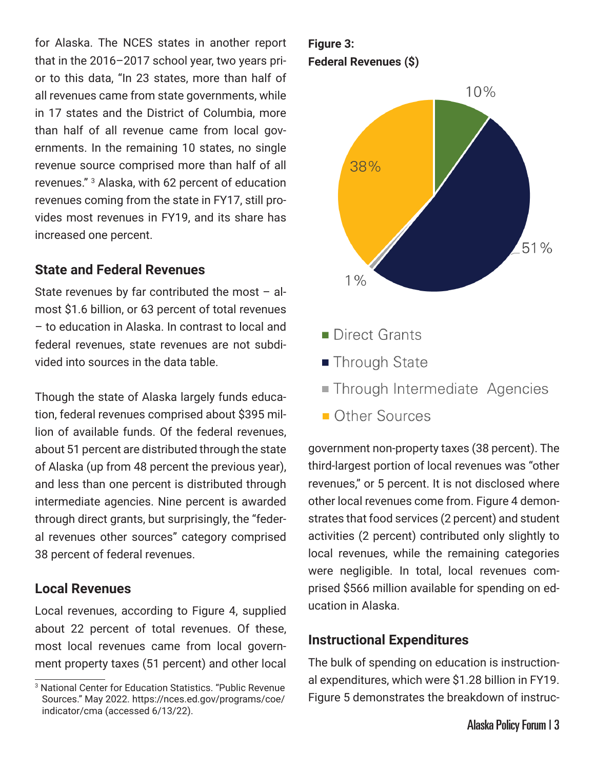for Alaska. The NCES states in another report that in the 2016–2017 school year, two years prior to this data, "In 23 states, more than half of all revenues came from state governments, while in 17 states and the District of Columbia, more than half of all revenue came from local governments. In the remaining 10 states, no single revenue source comprised more than half of all revenues." 3 Alaska, with 62 percent of education revenues coming from the state in FY17, still provides most revenues in FY19, and its share has increased one percent.

#### **State and Federal Revenues**

State revenues by far contributed the most  $-$  almost \$1.6 billion, or 63 percent of total revenues – to education in Alaska. In contrast to local and federal revenues, state revenues are not subdivided into sources in the data table.

Though the state of Alaska largely funds education, federal revenues comprised about \$395 million of available funds. Of the federal revenues, about 51 percent are distributed through the state of Alaska (up from 48 percent the previous year), and less than one percent is distributed through intermediate agencies. Nine percent is awarded through direct grants, but surprisingly, the "federal revenues other sources" category comprised 38 percent of federal revenues.

#### **Local Revenues**

Local revenues, according to Figure 4, supplied about 22 percent of total revenues. Of these, most local revenues came from local government property taxes (51 percent) and other local

#### **Figure 3: Federal Revenues (\$)**



- Direct Grants
- Through State
- Through Intermediate Agencies
- Other Sources

government non-property taxes (38 percent). The third-largest portion of local revenues was "other revenues," or 5 percent. It is not disclosed where other local revenues come from. Figure 4 demonstrates that food services (2 percent) and student activities (2 percent) contributed only slightly to local revenues, while the remaining categories were negligible. In total, local revenues comprised \$566 million available for spending on education in Alaska.

#### **Instructional Expenditures**

The bulk of spending on education is instructional expenditures, which were \$1.28 billion in FY19. Figure 5 demonstrates the breakdown of instruc-

<sup>3</sup> National Center for Education Statistics. "Public Revenue Sources." May 2022. https://nces.ed.gov/programs/coe/ indicator/cma (accessed 6/13/22).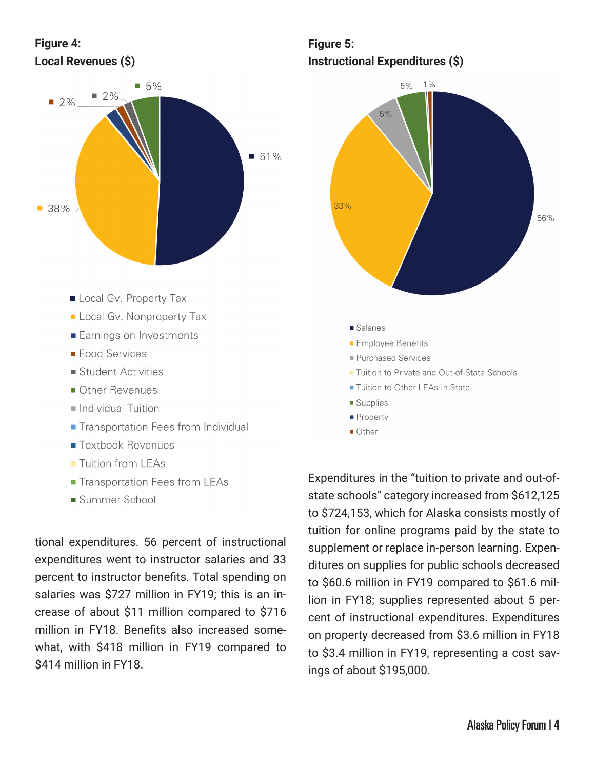#### **Figure 4: Local Revenues (\$)**



- Food Services
- Student Activities
- Other Revenues
- $\blacksquare$  Individual Tuition
- Transportation Fees from Individual
- **Textbook Revenues**
- **Tuition from LEAs**
- **Transportation Fees from LEAs**
- Summer School

tional expenditures. 56 percent of instructional expenditures went to instructor salaries and 33 percent to instructor benefits. Total spending on salaries was \$727 million in FY19; this is an increase of about \$11 million compared to \$716 million in FY18. Benefits also increased somewhat, with \$418 million in FY19 compared to \$414 million in FY18.

#### **Figure 5: Instructional Expenditures (\$)**



- **Tuition to Other LEAs In-State**
- Supplies
- Property
- Other

Expenditures in the "tuition to private and out-ofstate schools" category increased from \$612,125 to \$724,153, which for Alaska consists mostly of tuition for online programs paid by the state to supplement or replace in-person learning. Expenditures on supplies for public schools decreased to \$60.6 million in FY19 compared to \$61.6 million in FY18; supplies represented about 5 percent of instructional expenditures. Expenditures on property decreased from \$3.6 million in FY18 to \$3.4 million in FY19, representing a cost savings of about \$195,000.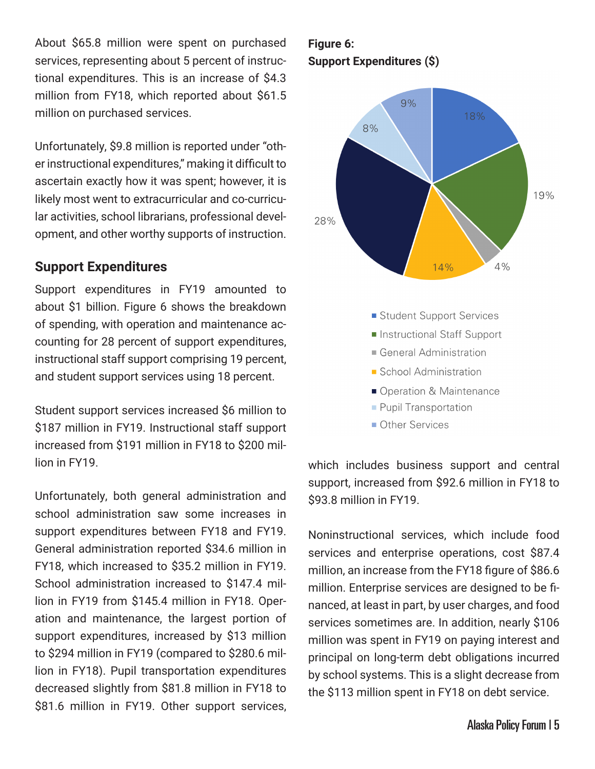About \$65.8 million were spent on purchased services, representing about 5 percent of instructional expenditures. This is an increase of \$4.3 million from FY18, which reported about \$61.5 million on purchased services.

Unfortunately, \$9.8 million is reported under "other instructional expenditures," making it difficult to ascertain exactly how it was spent; however, it is likely most went to extracurricular and co-curricular activities, school librarians, professional development, and other worthy supports of instruction.

#### **Support Expenditures**

Support expenditures in FY19 amounted to about \$1 billion. Figure 6 shows the breakdown of spending, with operation and maintenance accounting for 28 percent of support expenditures, instructional staff support comprising 19 percent, and student support services using 18 percent.

Student support services increased \$6 million to \$187 million in FY19. Instructional staff support increased from \$191 million in FY18 to \$200 million in FY19.

Unfortunately, both general administration and school administration saw some increases in support expenditures between FY18 and FY19. General administration reported \$34.6 million in FY18, which increased to \$35.2 million in FY19. School administration increased to \$147.4 million in FY19 from \$145.4 million in FY18. Operation and maintenance, the largest portion of support expenditures, increased by \$13 million to \$294 million in FY19 (compared to \$280.6 million in FY18). Pupil transportation expenditures decreased slightly from \$81.8 million in FY18 to \$81.6 million in FY19. Other support services,

#### **Figure 6: Support Expenditures (\$)**



which includes business support and central support, increased from \$92.6 million in FY18 to \$93.8 million in FY19.

Noninstructional services, which include food services and enterprise operations, cost \$87.4 million, an increase from the FY18 figure of \$86.6 million. Enterprise services are designed to be financed, at least in part, by user charges, and food services sometimes are. In addition, nearly \$106 million was spent in FY19 on paying interest and principal on long-term debt obligations incurred by school systems. This is a slight decrease from the \$113 million spent in FY18 on debt service.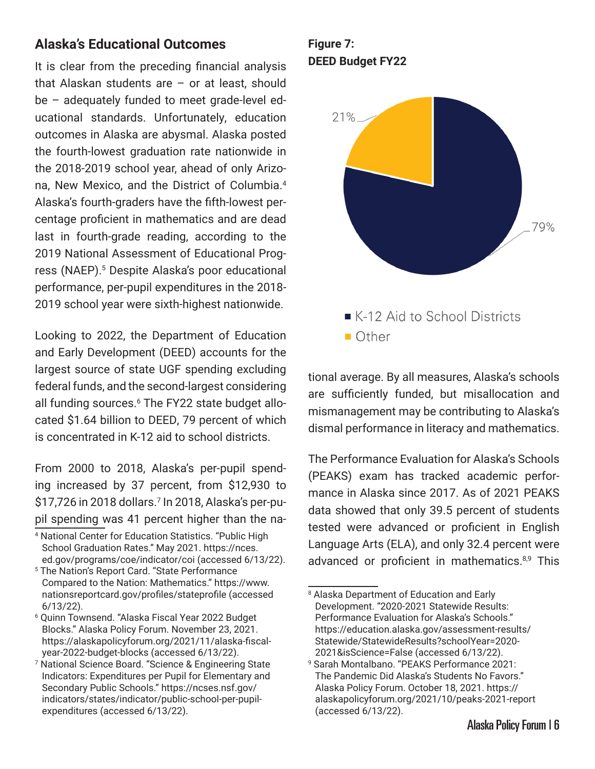#### **Alaska's Educational Outcomes**

It is clear from the preceding financial analysis that Alaskan students are – or at least, should be – adequately funded to meet grade-level educational standards. Unfortunately, education outcomes in Alaska are abysmal. Alaska posted the fourth-lowest graduation rate nationwide in the 2018-2019 school year, ahead of only Arizona, New Mexico, and the District of Columbia.4 Alaska's fourth-graders have the fifth-lowest percentage proficient in mathematics and are dead last in fourth-grade reading, according to the 2019 National Assessment of Educational Progress (NAEP).<sup>5</sup> Despite Alaska's poor educational performance, per-pupil expenditures in the 2018- 2019 school year were sixth-highest nationwide.

Looking to 2022, the Department of Education and Early Development (DEED) accounts for the largest source of state UGF spending excluding federal funds, and the second-largest considering all funding sources.<sup>6</sup> The FY22 state budget allocated \$1.64 billion to DEED, 79 percent of which is concentrated in K-12 aid to school districts.

From 2000 to 2018, Alaska's per-pupil spending increased by 37 percent, from \$12,930 to \$17,726 in 2018 dollars.7 In 2018, Alaska's per-pupil spending was 41 percent higher than the na-

- 4 National Center for Education Statistics. "Public High School Graduation Rates." May 2021. https://nces. ed.gov/programs/coe/indicator/coi (accessed 6/13/22).
- 5 The Nation's Report Card. "State Performance Compared to the Nation: Mathematics." https://www. nationsreportcard.gov/profiles/stateprofile (accessed 6/13/22).
- 6 Quinn Townsend. "Alaska Fiscal Year 2022 Budget Blocks." Alaska Policy Forum. November 23, 2021. https://alaskapolicyforum.org/2021/11/alaska-fiscalyear-2022-budget-blocks (accessed 6/13/22).
- 7 National Science Board. "Science & Engineering State Indicators: Expenditures per Pupil for Elementary and Secondary Public Schools." https://ncses.nsf.gov/ indicators/states/indicator/public-school-per-pupilexpenditures (accessed 6/13/22).

**Figure 7: DEED Budget FY22**



tional average. By all measures, Alaska's schools are sufficiently funded, but misallocation and mismanagement may be contributing to Alaska's dismal performance in literacy and mathematics.

The Performance Evaluation for Alaska's Schools (PEAKS) exam has tracked academic performance in Alaska since 2017. As of 2021 PEAKS data showed that only 39.5 percent of students tested were advanced or proficient in English Language Arts (ELA), and only 32.4 percent were advanced or proficient in mathematics.<sup>8,9</sup> This

<sup>8</sup> Alaska Department of Education and Early Development. "2020-2021 Statewide Results: Performance Evaluation for Alaska's Schools." https://education.alaska.gov/assessment-results/ Statewide/StatewideResults?schoolYear=2020- 2021&isScience=False (accessed 6/13/22).

<sup>9</sup> Sarah Montalbano. "PEAKS Performance 2021: The Pandemic Did Alaska's Students No Favors." Alaska Policy Forum. October 18, 2021. https:// alaskapolicyforum.org/2021/10/peaks-2021-report (accessed 6/13/22).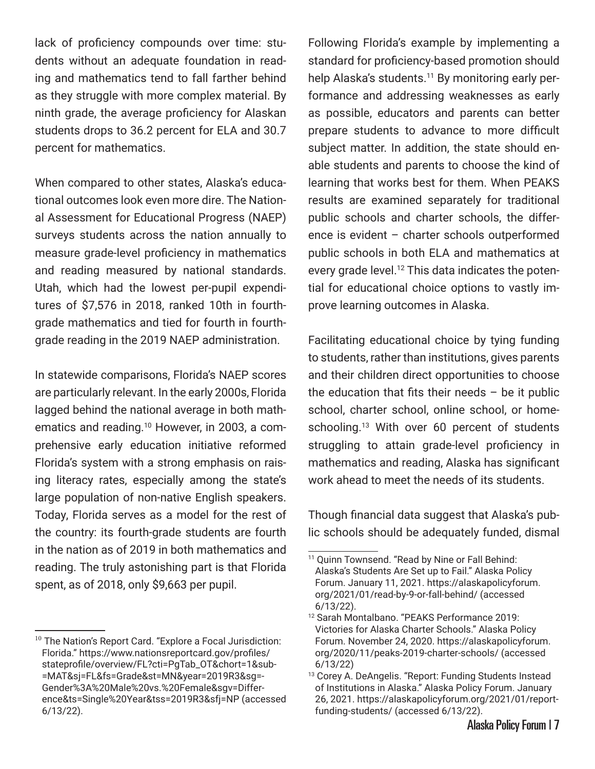lack of proficiency compounds over time: students without an adequate foundation in reading and mathematics tend to fall farther behind as they struggle with more complex material. By ninth grade, the average proficiency for Alaskan students drops to 36.2 percent for ELA and 30.7 percent for mathematics.

When compared to other states, Alaska's educational outcomes look even more dire. The National Assessment for Educational Progress (NAEP) surveys students across the nation annually to measure grade-level proficiency in mathematics and reading measured by national standards. Utah, which had the lowest per-pupil expenditures of \$7,576 in 2018, ranked 10th in fourthgrade mathematics and tied for fourth in fourthgrade reading in the 2019 NAEP administration.

In statewide comparisons, Florida's NAEP scores are particularly relevant. In the early 2000s, Florida lagged behind the national average in both mathematics and reading.<sup>10</sup> However, in 2003, a comprehensive early education initiative reformed Florida's system with a strong emphasis on raising literacy rates, especially among the state's large population of non-native English speakers. Today, Florida serves as a model for the rest of the country: its fourth-grade students are fourth in the nation as of 2019 in both mathematics and reading. The truly astonishing part is that Florida spent, as of 2018, only \$9,663 per pupil.

Following Florida's example by implementing a standard for proficiency-based promotion should help Alaska's students.<sup>11</sup> By monitoring early performance and addressing weaknesses as early as possible, educators and parents can better prepare students to advance to more difficult subject matter. In addition, the state should enable students and parents to choose the kind of learning that works best for them. When PEAKS results are examined separately for traditional public schools and charter schools, the difference is evident – charter schools outperformed public schools in both ELA and mathematics at every grade level.<sup>12</sup> This data indicates the potential for educational choice options to vastly improve learning outcomes in Alaska.

Facilitating educational choice by tying funding to students, rather than institutions, gives parents and their children direct opportunities to choose the education that fits their needs  $-$  be it public school, charter school, online school, or homeschooling.<sup>13</sup> With over 60 percent of students struggling to attain grade-level proficiency in mathematics and reading, Alaska has significant work ahead to meet the needs of its students.

Though financial data suggest that Alaska's public schools should be adequately funded, dismal

<sup>&</sup>lt;sup>10</sup> The Nation's Report Card. "Explore a Focal Jurisdiction: Florida." https://www.nationsreportcard.gov/profiles/ stateprofile/overview/FL?cti=PgTab\_OT&chort=1&sub- =MAT&sj=FL&fs=Grade&st=MN&year=2019R3&sg=- Gender%3A%20Male%20vs.%20Female&sgv=Difference&ts=Single%20Year&tss=2019R3&sfj=NP (accessed 6/13/22).

<sup>&</sup>lt;sup>11</sup> Quinn Townsend. "Read by Nine or Fall Behind: Alaska's Students Are Set up to Fail." Alaska Policy Forum. January 11, 2021. https://alaskapolicyforum. org/2021/01/read-by-9-or-fall-behind/ (accessed 6/13/22).

<sup>12</sup> Sarah Montalbano. "PEAKS Performance 2019: Victories for Alaska Charter Schools." Alaska Policy Forum. November 24, 2020. https://alaskapolicyforum. org/2020/11/peaks-2019-charter-schools/ (accessed 6/13/22)

<sup>13</sup> Corey A. DeAngelis. "Report: Funding Students Instead of Institutions in Alaska." Alaska Policy Forum. January 26, 2021. https://alaskapolicyforum.org/2021/01/reportfunding-students/ (accessed 6/13/22).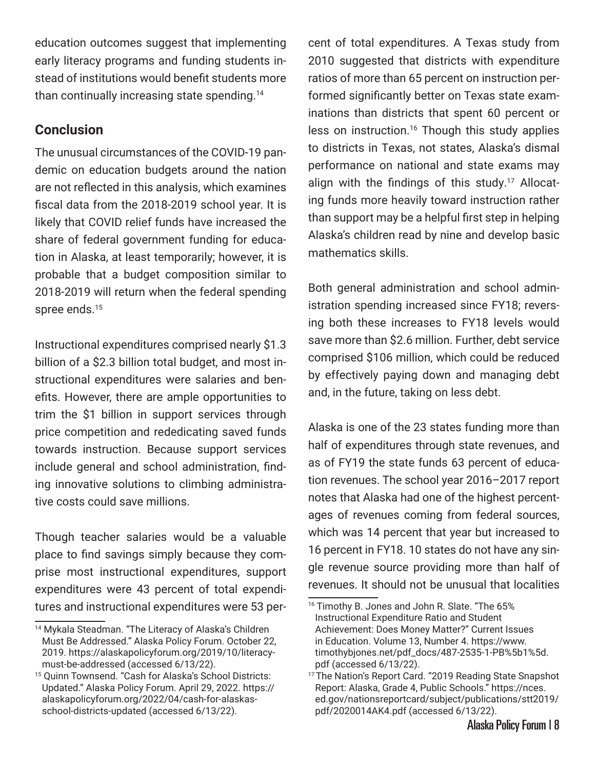education outcomes suggest that implementing early literacy programs and funding students instead of institutions would benefit students more than continually increasing state spending.<sup>14</sup>

#### **Conclusion**

The unusual circumstances of the COVID-19 pandemic on education budgets around the nation are not reflected in this analysis, which examines fiscal data from the 2018-2019 school year. It is likely that COVID relief funds have increased the share of federal government funding for education in Alaska, at least temporarily; however, it is probable that a budget composition similar to 2018-2019 will return when the federal spending spree ends.<sup>15</sup>

Instructional expenditures comprised nearly \$1.3 billion of a \$2.3 billion total budget, and most instructional expenditures were salaries and benefits. However, there are ample opportunities to trim the \$1 billion in support services through price competition and rededicating saved funds towards instruction. Because support services include general and school administration, finding innovative solutions to climbing administrative costs could save millions.

Though teacher salaries would be a valuable place to find savings simply because they comprise most instructional expenditures, support expenditures were 43 percent of total expenditures and instructional expenditures were 53 percent of total expenditures. A Texas study from 2010 suggested that districts with expenditure ratios of more than 65 percent on instruction performed significantly better on Texas state examinations than districts that spent 60 percent or less on instruction.<sup>16</sup> Though this study applies to districts in Texas, not states, Alaska's dismal performance on national and state exams may align with the findings of this study.<sup>17</sup> Allocating funds more heavily toward instruction rather than support may be a helpful first step in helping Alaska's children read by nine and develop basic mathematics skills.

Both general administration and school administration spending increased since FY18; reversing both these increases to FY18 levels would save more than \$2.6 million. Further, debt service comprised \$106 million, which could be reduced by effectively paying down and managing debt and, in the future, taking on less debt.

Alaska is one of the 23 states funding more than half of expenditures through state revenues, and as of FY19 the state funds 63 percent of education revenues. The school year 2016–2017 report notes that Alaska had one of the highest percentages of revenues coming from federal sources, which was 14 percent that year but increased to 16 percent in FY18. 10 states do not have any single revenue source providing more than half of revenues. It should not be unusual that localities

<sup>14</sup> Mykala Steadman. "The Literacy of Alaska's Children Must Be Addressed." Alaska Policy Forum. October 22, 2019. https://alaskapolicyforum.org/2019/10/literacymust-be-addressed (accessed 6/13/22).

<sup>15</sup> Quinn Townsend. "Cash for Alaska's School Districts: Updated." Alaska Policy Forum. April 29, 2022. https:// alaskapolicyforum.org/2022/04/cash-for-alaskasschool-districts-updated (accessed 6/13/22).

<sup>&</sup>lt;sup>16</sup> Timothy B. Jones and John R. Slate. "The 65% Instructional Expenditure Ratio and Student Achievement: Does Money Matter?" Current Issues in Education. Volume 13, Number 4. https://www. timothybjones.net/pdf\_docs/487-2535-1-PB%5b1%5d. pdf (accessed 6/13/22).

<sup>&</sup>lt;sup>17</sup> The Nation's Report Card. "2019 Reading State Snapshot Report: Alaska, Grade 4, Public Schools." https://nces. ed.gov/nationsreportcard/subject/publications/stt2019/ pdf/2020014AK4.pdf (accessed 6/13/22).